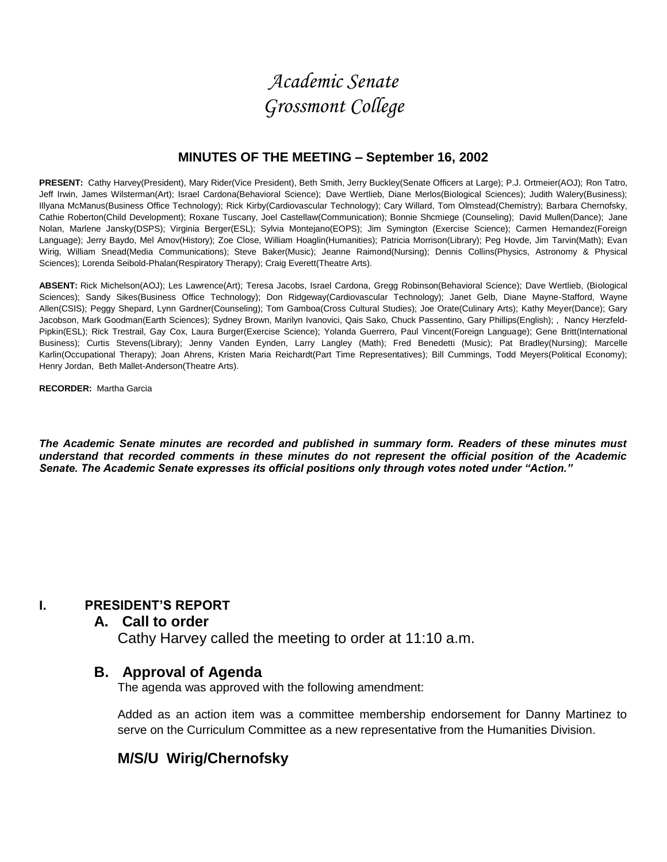# *Academic Senate Grossmont College*

#### **MINUTES OF THE MEETING – September 16, 2002**

**PRESENT:** Cathy Harvey(President), Mary Rider(Vice President), Beth Smith, Jerry Buckley(Senate Officers at Large); P.J. Ortmeier(AOJ); Ron Tatro, Jeff Irwin, James Wilsterman(Art); Israel Cardona(Behavioral Science); Dave Wertlieb, Diane Merlos(Biological Sciences); Judith Walery(Business); Illyana McManus(Business Office Technology); Rick Kirby(Cardiovascular Technology); Cary Willard, Tom Olmstead(Chemistry); Barbara Chernofsky, Cathie Roberton(Child Development); Roxane Tuscany, Joel Castellaw(Communication); Bonnie Shcmiege (Counseling); David Mullen(Dance); Jane Nolan, Marlene Jansky(DSPS); Virginia Berger(ESL); Sylvia Montejano(EOPS); Jim Symington (Exercise Science); Carmen Hernandez(Foreign Language); Jerry Baydo, Mel Amov(History); Zoe Close, William Hoaglin(Humanities); Patricia Morrison(Library); Peg Hovde, Jim Tarvin(Math); Evan Wirig, William Snead(Media Communications); Steve Baker(Music); Jeanne Raimond(Nursing); Dennis Collins(Physics, Astronomy & Physical Sciences); Lorenda Seibold-Phalan(Respiratory Therapy); Craig Everett(Theatre Arts).

**ABSENT:** Rick Michelson(AOJ); Les Lawrence(Art); Teresa Jacobs, Israel Cardona, Gregg Robinson(Behavioral Science); Dave Wertlieb, (Biological Sciences); Sandy Sikes(Business Office Technology); Don Ridgeway(Cardiovascular Technology); Janet Gelb, Diane Mayne-Stafford, Wayne Allen(CSIS); Peggy Shepard, Lynn Gardner(Counseling); Tom Gamboa(Cross Cultural Studies); Joe Orate(Culinary Arts); Kathy Meyer(Dance); Gary Jacobson, Mark Goodman(Earth Sciences); Sydney Brown, Marilyn Ivanovici, Qais Sako, Chuck Passentino, Gary Phillips(English); , Nancy Herzfeld-Pipkin(ESL); Rick Trestrail, Gay Cox, Laura Burger(Exercise Science); Yolanda Guerrero, Paul Vincent(Foreign Language); Gene Britt(International Business); Curtis Stevens(Library); Jenny Vanden Eynden, Larry Langley (Math); Fred Benedetti (Music); Pat Bradley(Nursing); Marcelle Karlin(Occupational Therapy); Joan Ahrens, Kristen Maria Reichardt(Part Time Representatives); Bill Cummings, Todd Meyers(Political Economy); Henry Jordan, Beth Mallet-Anderson(Theatre Arts).

**RECORDER:** Martha Garcia

*The Academic Senate minutes are recorded and published in summary form. Readers of these minutes must understand that recorded comments in these minutes do not represent the official position of the Academic Senate. The Academic Senate expresses its official positions only through votes noted under "Action."*

#### **I. PRESIDENT'S REPORT**

#### **A. Call to order**

Cathy Harvey called the meeting to order at 11:10 a.m.

## **B. Approval of Agenda**

The agenda was approved with the following amendment:

Added as an action item was a committee membership endorsement for Danny Martinez to serve on the Curriculum Committee as a new representative from the Humanities Division.

# **M/S/U Wirig/Chernofsky**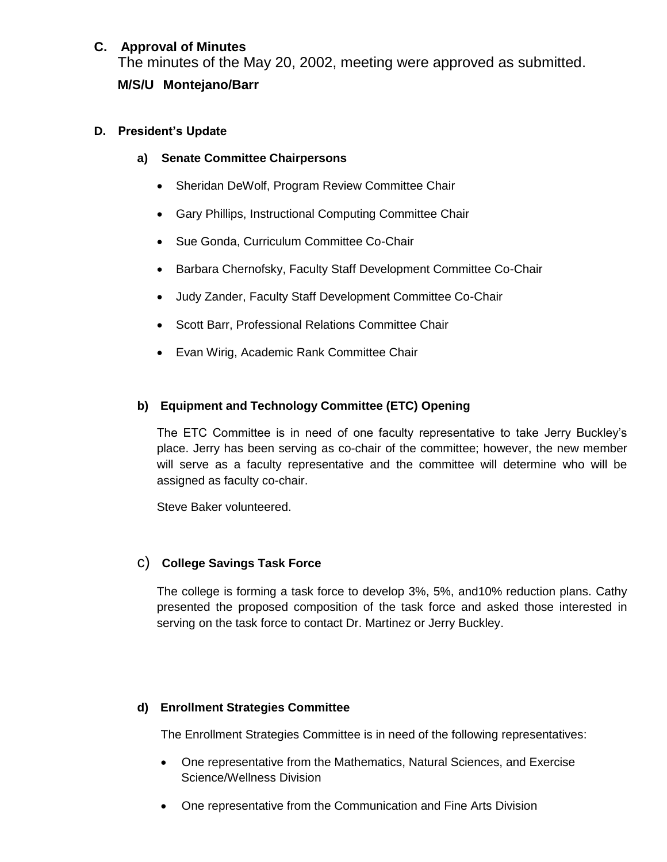## **C. Approval of Minutes**

The minutes of the May 20, 2002, meeting were approved as submitted. **M/S/U Montejano/Barr**

#### **D. President's Update**

- **a) Senate Committee Chairpersons**
	- Sheridan DeWolf, Program Review Committee Chair
	- Gary Phillips, Instructional Computing Committee Chair
	- Sue Gonda, Curriculum Committee Co-Chair
	- Barbara Chernofsky, Faculty Staff Development Committee Co-Chair
	- Judy Zander, Faculty Staff Development Committee Co-Chair
	- Scott Barr, Professional Relations Committee Chair
	- Evan Wirig, Academic Rank Committee Chair

#### **b) Equipment and Technology Committee (ETC) Opening**

The ETC Committee is in need of one faculty representative to take Jerry Buckley's place. Jerry has been serving as co-chair of the committee; however, the new member will serve as a faculty representative and the committee will determine who will be assigned as faculty co-chair.

Steve Baker volunteered.

#### c) **College Savings Task Force**

The college is forming a task force to develop 3%, 5%, and10% reduction plans. Cathy presented the proposed composition of the task force and asked those interested in serving on the task force to contact Dr. Martinez or Jerry Buckley.

#### **d) Enrollment Strategies Committee**

The Enrollment Strategies Committee is in need of the following representatives:

- One representative from the Mathematics, Natural Sciences, and Exercise Science/Wellness Division
- One representative from the Communication and Fine Arts Division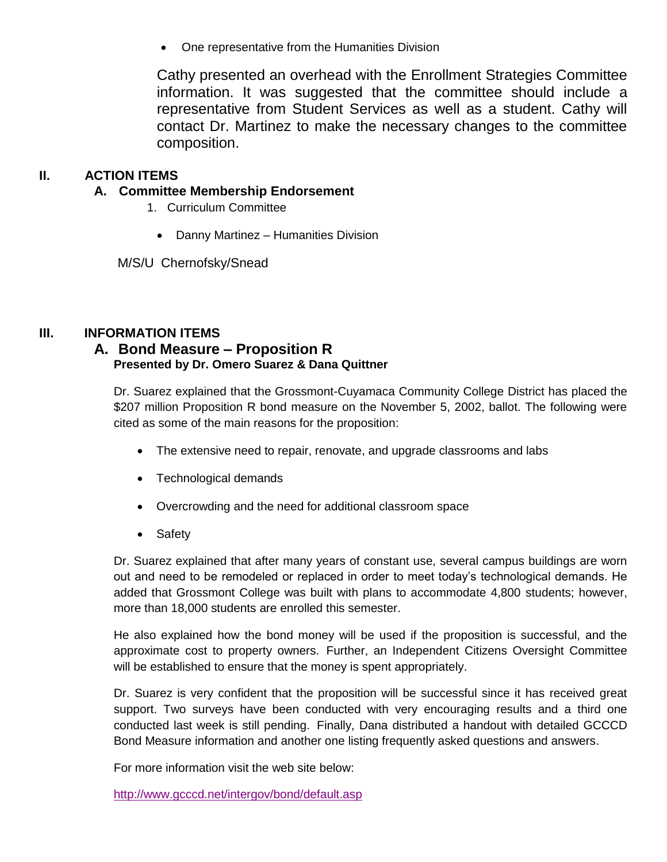One representative from the Humanities Division

Cathy presented an overhead with the Enrollment Strategies Committee information. It was suggested that the committee should include a representative from Student Services as well as a student. Cathy will contact Dr. Martinez to make the necessary changes to the committee composition.

#### **II. ACTION ITEMS**

- **A. Committee Membership Endorsement**
	- 1. Curriculum Committee
		- Danny Martinez Humanities Division

M/S/U Chernofsky/Snead

#### **III. INFORMATION ITEMS**

#### **A. Bond Measure – Proposition R Presented by Dr. Omero Suarez & Dana Quittner**

Dr. Suarez explained that the Grossmont-Cuyamaca Community College District has placed the \$207 million Proposition R bond measure on the November 5, 2002, ballot. The following were cited as some of the main reasons for the proposition:

- The extensive need to repair, renovate, and upgrade classrooms and labs
- Technological demands
- Overcrowding and the need for additional classroom space
- Safety

Dr. Suarez explained that after many years of constant use, several campus buildings are worn out and need to be remodeled or replaced in order to meet today's technological demands. He added that Grossmont College was built with plans to accommodate 4,800 students; however, more than 18,000 students are enrolled this semester.

He also explained how the bond money will be used if the proposition is successful, and the approximate cost to property owners. Further, an Independent Citizens Oversight Committee will be established to ensure that the money is spent appropriately.

Dr. Suarez is very confident that the proposition will be successful since it has received great support. Two surveys have been conducted with very encouraging results and a third one conducted last week is still pending. Finally, Dana distributed a handout with detailed GCCCD Bond Measure information and another one listing frequently asked questions and answers.

For more information visit the web site below:

<http://www.gcccd.net/intergov/bond/default.asp>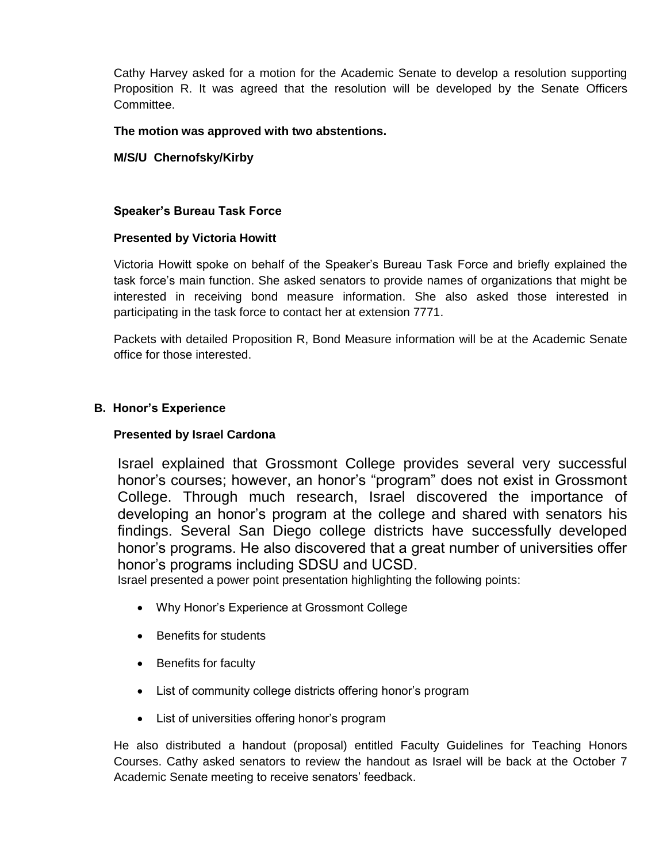Cathy Harvey asked for a motion for the Academic Senate to develop a resolution supporting Proposition R. It was agreed that the resolution will be developed by the Senate Officers Committee.

#### **The motion was approved with two abstentions.**

#### **M/S/U Chernofsky/Kirby**

#### **Speaker's Bureau Task Force**

#### **Presented by Victoria Howitt**

Victoria Howitt spoke on behalf of the Speaker's Bureau Task Force and briefly explained the task force's main function. She asked senators to provide names of organizations that might be interested in receiving bond measure information. She also asked those interested in participating in the task force to contact her at extension 7771.

Packets with detailed Proposition R, Bond Measure information will be at the Academic Senate office for those interested.

#### **B. Honor's Experience**

#### **Presented by Israel Cardona**

Israel explained that Grossmont College provides several very successful honor's courses; however, an honor's "program" does not exist in Grossmont College. Through much research, Israel discovered the importance of developing an honor's program at the college and shared with senators his findings. Several San Diego college districts have successfully developed honor's programs. He also discovered that a great number of universities offer honor's programs including SDSU and UCSD.

Israel presented a power point presentation highlighting the following points:

- Why Honor's Experience at Grossmont College
- Benefits for students
- Benefits for faculty
- List of community college districts offering honor's program
- List of universities offering honor's program

He also distributed a handout (proposal) entitled Faculty Guidelines for Teaching Honors Courses. Cathy asked senators to review the handout as Israel will be back at the October 7 Academic Senate meeting to receive senators' feedback.